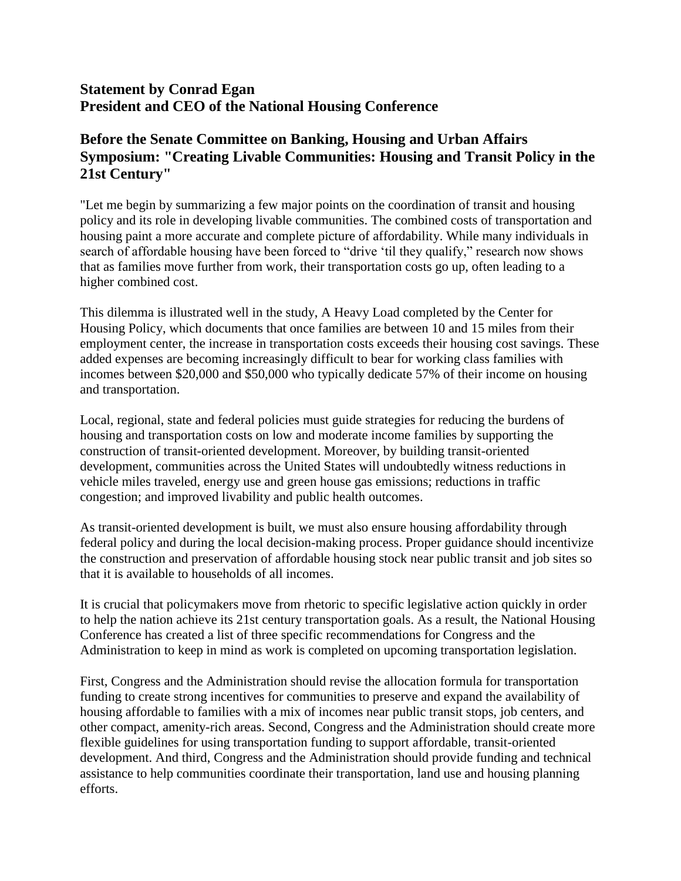## **Statement by Conrad Egan President and CEO of the National Housing Conference**

## **Before the Senate Committee on Banking, Housing and Urban Affairs Symposium: "Creating Livable Communities: Housing and Transit Policy in the 21st Century"**

"Let me begin by summarizing a few major points on the coordination of transit and housing policy and its role in developing livable communities. The combined costs of transportation and housing paint a more accurate and complete picture of affordability. While many individuals in search of affordable housing have been forced to "drive 'til they qualify," research now shows that as families move further from work, their transportation costs go up, often leading to a higher combined cost.

This dilemma is illustrated well in the study, A Heavy Load completed by the Center for Housing Policy, which documents that once families are between 10 and 15 miles from their employment center, the increase in transportation costs exceeds their housing cost savings. These added expenses are becoming increasingly difficult to bear for working class families with incomes between \$20,000 and \$50,000 who typically dedicate 57% of their income on housing and transportation.

Local, regional, state and federal policies must guide strategies for reducing the burdens of housing and transportation costs on low and moderate income families by supporting the construction of transit-oriented development. Moreover, by building transit-oriented development, communities across the United States will undoubtedly witness reductions in vehicle miles traveled, energy use and green house gas emissions; reductions in traffic congestion; and improved livability and public health outcomes.

As transit-oriented development is built, we must also ensure housing affordability through federal policy and during the local decision-making process. Proper guidance should incentivize the construction and preservation of affordable housing stock near public transit and job sites so that it is available to households of all incomes.

It is crucial that policymakers move from rhetoric to specific legislative action quickly in order to help the nation achieve its 21st century transportation goals. As a result, the National Housing Conference has created a list of three specific recommendations for Congress and the Administration to keep in mind as work is completed on upcoming transportation legislation.

First, Congress and the Administration should revise the allocation formula for transportation funding to create strong incentives for communities to preserve and expand the availability of housing affordable to families with a mix of incomes near public transit stops, job centers, and other compact, amenity-rich areas. Second, Congress and the Administration should create more flexible guidelines for using transportation funding to support affordable, transit-oriented development. And third, Congress and the Administration should provide funding and technical assistance to help communities coordinate their transportation, land use and housing planning efforts.